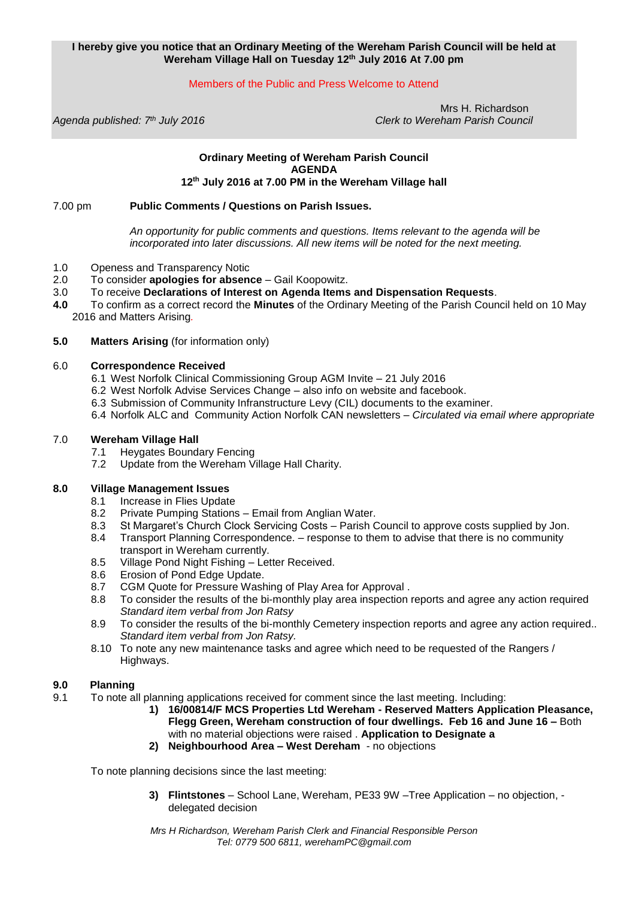# Members of the Public and Press Welcome to Attend

*Agenda published: 7*

 Mrs H. Richardson **Clerk to Wereham Parish Council** 

#### **Ordinary Meeting of Wereham Parish Council AGENDA 12 th July 2016 at 7.00 PM in the Wereham Village hall**

#### 7.00 pm **Public Comments / Questions on Parish Issues.**

*An opportunity for public comments and questions. Items relevant to the agenda will be incorporated into later discussions. All new items will be noted for the next meeting.*

- 1.0 Openess and Transparency Notic
- 2.0 To consider **apologies for absence** Gail Koopowitz.
- 3.0 To receive **Declarations of Interest on Agenda Items and Dispensation Requests**.
- **4.0** To confirm as a correct record the **Minutes** of the Ordinary Meeting of the Parish Council held on 10 May 2016 and Matters Arising*.*

## **5.0 Matters Arising** (for information only)

## 6.0 **Correspondence Received**

- 6.1 West Norfolk Clinical Commissioning Group AGM Invite 21 July 2016
- 6.2 West Norfolk Advise Services Change also info on website and facebook.
- 6.3 Submission of Community Infranstructure Levy (CIL) documents to the examiner.
- 6.4 Norfolk ALC and Community Action Norfolk CAN newsletters *– Circulated via email where appropriate*

## 7.0 **Wereham Village Hall**

- 7.1 Heygates Boundary Fencing
- 7.2 Update from the Wereham Village Hall Charity.

# **8.0 Village Management Issues**

- 8.1 Increase in Flies Update
- 8.2 Private Pumping Stations Email from Anglian Water.
- 8.3 St Margaret's Church Clock Servicing Costs Parish Council to approve costs supplied by Jon.
- 8.4 Transport Planning Correspondence. response to them to advise that there is no community transport in Wereham currently.
- 8.5 Village Pond Night Fishing Letter Received.
- 8.6 Erosion of Pond Edge Update.
- 8.7 CGM Quote for Pressure Washing of Play Area for Approval .
- 8.8 To consider the results of the bi-monthly play area inspection reports and agree any action required *Standard item verbal from Jon Ratsy*
- 8.9 To consider the results of the bi-monthly Cemetery inspection reports and agree any action required.. *Standard item verbal from Jon Ratsy.*
- 8.10 To note any new maintenance tasks and agree which need to be requested of the Rangers / Highways.

# **9.0 Planning**

- 9.1 To note all planning applications received for comment since the last meeting. Including:
	- **1) 16/00814/F MCS Properties Ltd Wereham - Reserved Matters Application Pleasance, Flegg Green, Wereham construction of four dwellings. Feb 16 and June 16 –** Both with no material objections were raised . **Application to Designate a**
	- **2) Neighbourhood Area – West Dereham** no objections

To note planning decisions since the last meeting:

**3) Flintstones** – School Lane, Wereham, PE33 9W –Tree Application – no objection, delegated decision

*Mrs H Richardson, Wereham Parish Clerk and Financial Responsible Person Tel: 0779 500 6811, werehamPC@gmail.com*